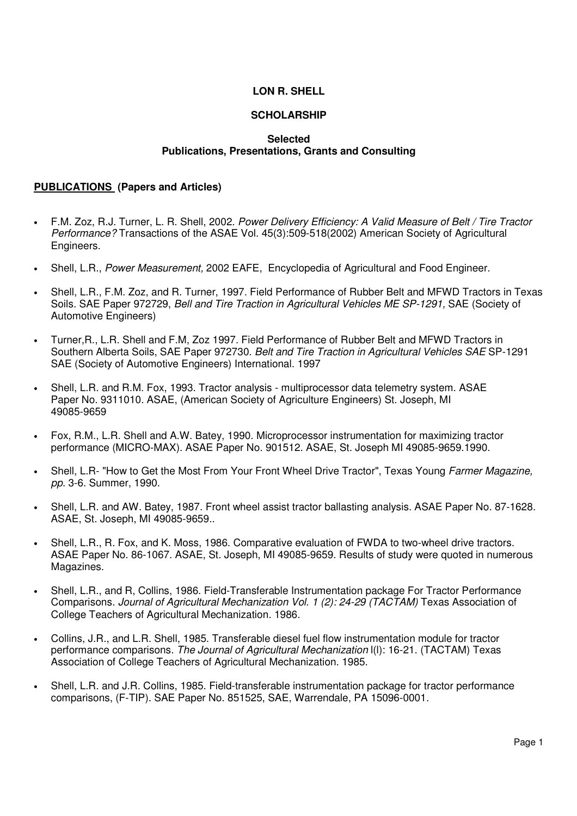# **LON R. SHELL**

# **SCHOLARSHIP**

#### **Selected Publications, Presentations, Grants and Consulting**

#### **PUBLICATIONS (Papers and Articles)**

- F.M. Zoz, R.J. Turner, L. R. Shell, 2002. Power Delivery Efficiency: A Valid Measure of Belt / Tire Tractor Performance? Transactions of the ASAE Vol. 45(3):509-518(2002) American Society of Agricultural Engineers.
- Shell, L.R., Power Measurement, 2002 EAFE, Encyclopedia of Agricultural and Food Engineer.
- Shell, L.R., F.M. Zoz, and R. Turner, 1997. Field Performance of Rubber Belt and MFWD Tractors in Texas Soils. SAE Paper 972729, Bell and Tire Traction in Agricultural Vehicles ME SP-1291, SAE (Society of Automotive Engineers)
- Turner,R., L.R. Shell and F.M, Zoz 1997. Field Performance of Rubber Belt and MFWD Tractors in Southern Alberta Soils, SAE Paper 972730. Belt and Tire Traction in Agricultural Vehicles SAE SP-1291 SAE (Society of Automotive Engineers) International. 1997
- Shell, L.R. and R.M. Fox, 1993. Tractor analysis multiprocessor data telemetry system. ASAE Paper No. 9311010. ASAE, (American Society of Agriculture Engineers) St. Joseph, MI 49085-9659
- Fox, R.M., L.R. Shell and A.W. Batey, 1990. Microprocessor instrumentation for maximizing tractor performance (MICRO-MAX). ASAE Paper No. 901512. ASAE, St. Joseph MI 49085-9659.1990.
- Shell, L.R- "How to Get the Most From Your Front Wheel Drive Tractor", Texas Young Farmer Magazine, pp. 3-6. Summer, 1990.
- Shell, L.R. and AW. Batey, 1987. Front wheel assist tractor ballasting analysis. ASAE Paper No. 87-1628. ASAE, St. Joseph, MI 49085-9659..
- Shell, L.R., R. Fox, and K. Moss, 1986. Comparative evaluation of FWDA to two-wheel drive tractors. ASAE Paper No. 86-1067. ASAE, St. Joseph, MI 49085-9659. Results of study were quoted in numerous Magazines.
- Shell, L.R., and R, Collins, 1986. Field-Transferable Instrumentation package For Tractor Performance Comparisons. Journal of Agricultural Mechanization Vol. 1 (2): 24-29 (TACTAM) Texas Association of College Teachers of Agricultural Mechanization. 1986.
- Collins, J.R., and L.R. Shell, 1985. Transferable diesel fuel flow instrumentation module for tractor performance comparisons. The Journal of Agricultural Mechanization l(l): 16-21. (TACTAM) Texas Association of College Teachers of Agricultural Mechanization. 1985.
- Shell, L.R. and J.R. Collins, 1985. Field-transferable instrumentation package for tractor performance comparisons, (F-TIP). SAE Paper No. 851525, SAE, Warrendale, PA 15096-0001.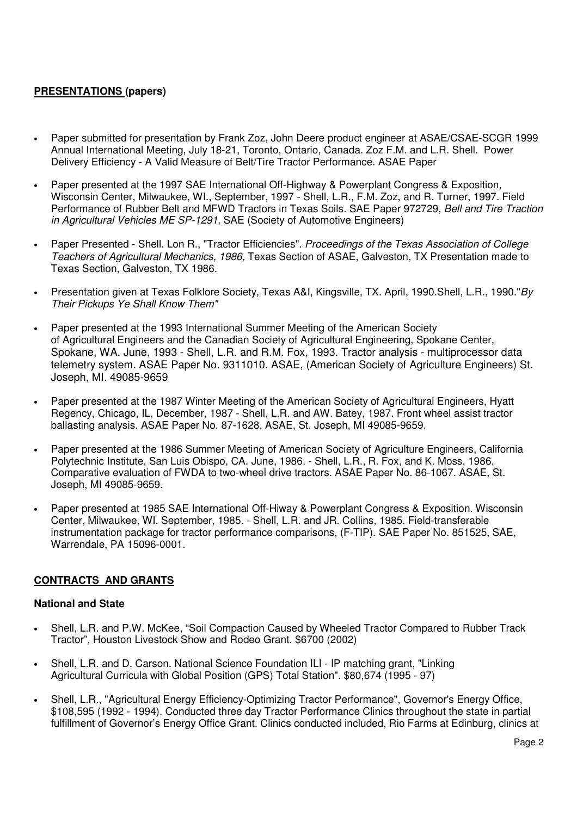# **PRESENTATIONS (papers)**

- Paper submitted for presentation by Frank Zoz, John Deere product engineer at ASAE/CSAE-SCGR 1999 Annual International Meeting, July 18-21, Toronto, Ontario, Canada. Zoz F.M. and L.R. Shell. Power Delivery Efficiency - A Valid Measure of Belt/Tire Tractor Performance. ASAE Paper
- Paper presented at the 1997 SAE International Off-Highway & Powerplant Congress & Exposition, Wisconsin Center, Milwaukee, WI., September, 1997 - Shell, L.R., F.M. Zoz, and R. Turner, 1997. Field Performance of Rubber Belt and MFWD Tractors in Texas Soils. SAE Paper 972729, Bell and Tire Traction in Agricultural Vehicles ME SP-1291, SAE (Society of Automotive Engineers)
- Paper Presented Shell. Lon R., "Tractor Efficiencies". Proceedings of the Texas Association of College Teachers of Agricultural Mechanics, 1986, Texas Section of ASAE, Galveston, TX Presentation made to Texas Section, Galveston, TX 1986.
- Presentation given at Texas Folklore Society, Texas A&I, Kingsville, TX. April, 1990.Shell, L.R., 1990."By Their Pickups Ye Shall Know Them"
- Paper presented at the 1993 International Summer Meeting of the American Society of Agricultural Engineers and the Canadian Society of Agricultural Engineering, Spokane Center, Spokane, WA. June, 1993 - Shell, L.R. and R.M. Fox, 1993. Tractor analysis - multiprocessor data telemetry system. ASAE Paper No. 9311010. ASAE, (American Society of Agriculture Engineers) St. Joseph, MI. 49085-9659
- Paper presented at the 1987 Winter Meeting of the American Society of Agricultural Engineers, Hyatt Regency, Chicago, IL, December, 1987 - Shell, L.R. and AW. Batey, 1987. Front wheel assist tractor ballasting analysis. ASAE Paper No. 87-1628. ASAE, St. Joseph, MI 49085-9659.
- Paper presented at the 1986 Summer Meeting of American Society of Agriculture Engineers, California Polytechnic Institute, San Luis Obispo, CA. June, 1986. - Shell, L.R., R. Fox, and K. Moss, 1986. Comparative evaluation of FWDA to two-wheel drive tractors. ASAE Paper No. 86-1067. ASAE, St. Joseph, MI 49085-9659.
- Paper presented at 1985 SAE International Off-Hiway & Powerplant Congress & Exposition. Wisconsin Center, Milwaukee, WI. September, 1985. - Shell, L.R. and JR. Collins, 1985. Field-transferable instrumentation package for tractor performance comparisons, (F-TIP). SAE Paper No. 851525, SAE, Warrendale, PA 15096-0001.

### **CONTRACTS AND GRANTS**

### **National and State**

- Shell, L.R. and P.W. McKee, "Soil Compaction Caused by Wheeled Tractor Compared to Rubber Track Tractor", Houston Livestock Show and Rodeo Grant. \$6700 (2002)
- Shell, L.R. and D. Carson. National Science Foundation ILI IP matching grant, "Linking Agricultural Curricula with Global Position (GPS) Total Station". \$80,674 (1995 - 97)
- Shell, L.R., "Agricultural Energy Efficiency-Optimizing Tractor Performance", Governor's Energy Office, \$108,595 (1992 - 1994). Conducted three day Tractor Performance Clinics throughout the state in partial fulfillment of Governor's Energy Office Grant. Clinics conducted included, Rio Farms at Edinburg, clinics at